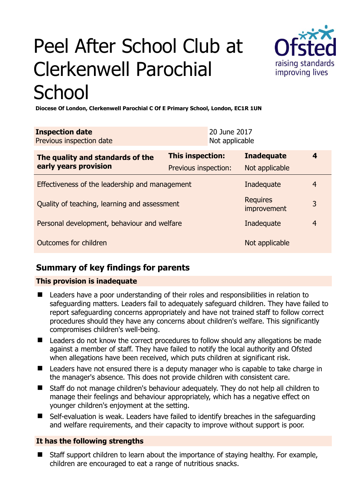# Peel After School Club at Clerkenwell Parochial **School**



**Diocese Of London, Clerkenwell Parochial C Of E Primary School, London, EC1R 1UN** 

| <b>Inspection date</b><br>Previous inspection date        | 20 June 2017<br>Not applicable |                                |                |
|-----------------------------------------------------------|--------------------------------|--------------------------------|----------------|
| The quality and standards of the<br>early years provision | This inspection:               | <b>Inadequate</b>              | 4              |
|                                                           | Previous inspection:           | Not applicable                 |                |
| Effectiveness of the leadership and management            |                                | Inadequate                     | $\overline{4}$ |
| Quality of teaching, learning and assessment              |                                | <b>Requires</b><br>improvement | 3              |
| Personal development, behaviour and welfare               |                                | Inadequate                     | $\overline{4}$ |
| Outcomes for children                                     |                                | Not applicable                 |                |

# **Summary of key findings for parents**

## **This provision is inadequate**

- Leaders have a poor understanding of their roles and responsibilities in relation to safeguarding matters. Leaders fail to adequately safeguard children. They have failed to report safeguarding concerns appropriately and have not trained staff to follow correct procedures should they have any concerns about children's welfare. This significantly compromises children's well-being.
- Leaders do not know the correct procedures to follow should any allegations be made against a member of staff. They have failed to notify the local authority and Ofsted when allegations have been received, which puts children at significant risk.
- Leaders have not ensured there is a deputy manager who is capable to take charge in the manager's absence. This does not provide children with consistent care.
- Staff do not manage children's behaviour adequately. They do not help all children to manage their feelings and behaviour appropriately, which has a negative effect on younger children's enjoyment at the setting.
- Self-evaluation is weak. Leaders have failed to identify breaches in the safeguarding and welfare requirements, and their capacity to improve without support is poor.

## **It has the following strengths**

■ Staff support children to learn about the importance of staving healthy. For example, children are encouraged to eat a range of nutritious snacks.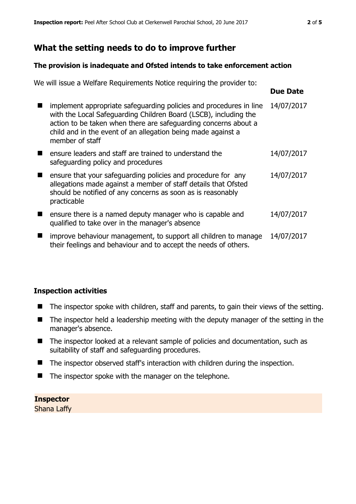## **What the setting needs to do to improve further**

#### **The provision is inadequate and Ofsted intends to take enforcement action**

We will issue a Welfare Requirements Notice requiring the provider to:

|                                                                                                                                                                                                                                                                                              | Due Dale   |
|----------------------------------------------------------------------------------------------------------------------------------------------------------------------------------------------------------------------------------------------------------------------------------------------|------------|
| implement appropriate safeguarding policies and procedures in line<br>with the Local Safeguarding Children Board (LSCB), including the<br>action to be taken when there are safeguarding concerns about a<br>child and in the event of an allegation being made against a<br>member of staff | 14/07/2017 |
| ensure leaders and staff are trained to understand the<br>safeguarding policy and procedures                                                                                                                                                                                                 | 14/07/2017 |
| ensure that your safeguarding policies and procedure for any<br>allegations made against a member of staff details that Ofsted<br>should be notified of any concerns as soon as is reasonably<br>practicable                                                                                 | 14/07/2017 |
| ensure there is a named deputy manager who is capable and<br>qualified to take over in the manager's absence                                                                                                                                                                                 | 14/07/2017 |
| improve behaviour management, to support all children to manage<br>their feelings and behaviour and to accept the needs of others.                                                                                                                                                           | 14/07/2017 |

## **Inspection activities**

- The inspector spoke with children, staff and parents, to gain their views of the setting.
- The inspector held a leadership meeting with the deputy manager of the setting in the manager's absence.
- The inspector looked at a relevant sample of policies and documentation, such as suitability of staff and safeguarding procedures.
- $\blacksquare$  The inspector observed staff's interaction with children during the inspection.
- $\blacksquare$  The inspector spoke with the manager on the telephone.

## **Inspector**

Shana Laffy

**Due Date**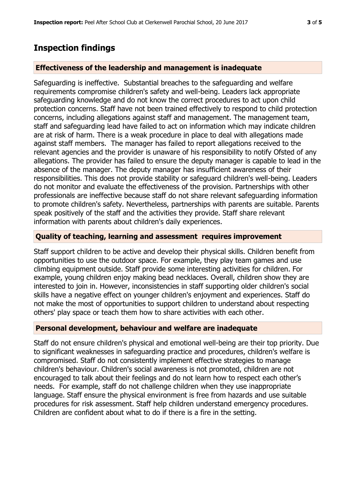# **Inspection findings**

#### **Effectiveness of the leadership and management is inadequate**

Safeguarding is ineffective. Substantial breaches to the safeguarding and welfare requirements compromise children's safety and well-being. Leaders lack appropriate safeguarding knowledge and do not know the correct procedures to act upon child protection concerns. Staff have not been trained effectively to respond to child protection concerns, including allegations against staff and management. The management team, staff and safeguarding lead have failed to act on information which may indicate children are at risk of harm. There is a weak procedure in place to deal with allegations made against staff members. The manager has failed to report allegations received to the relevant agencies and the provider is unaware of his responsibility to notify Ofsted of any allegations. The provider has failed to ensure the deputy manager is capable to lead in the absence of the manager. The deputy manager has insufficient awareness of their responsibilities. This does not provide stability or safeguard children's well-being. Leaders do not monitor and evaluate the effectiveness of the provision. Partnerships with other professionals are ineffective because staff do not share relevant safeguarding information to promote children's safety. Nevertheless, partnerships with parents are suitable. Parents speak positively of the staff and the activities they provide. Staff share relevant information with parents about children's daily experiences.

#### **Quality of teaching, learning and assessment requires improvement**

Staff support children to be active and develop their physical skills. Children benefit from opportunities to use the outdoor space. For example, they play team games and use climbing equipment outside. Staff provide some interesting activities for children. For example, young children enjoy making bead necklaces. Overall, children show they are interested to join in. However, inconsistencies in staff supporting older children's social skills have a negative effect on younger children's enjoyment and experiences. Staff do not make the most of opportunities to support children to understand about respecting others' play space or teach them how to share activities with each other.

#### **Personal development, behaviour and welfare are inadequate**

Staff do not ensure children's physical and emotional well-being are their top priority. Due to significant weaknesses in safeguarding practice and procedures, children's welfare is compromised. Staff do not consistently implement effective strategies to manage children's behaviour. Children's social awareness is not promoted, children are not encouraged to talk about their feelings and do not learn how to respect each other's needs. For example, staff do not challenge children when they use inappropriate language. Staff ensure the physical environment is free from hazards and use suitable procedures for risk assessment. Staff help children understand emergency procedures. Children are confident about what to do if there is a fire in the setting.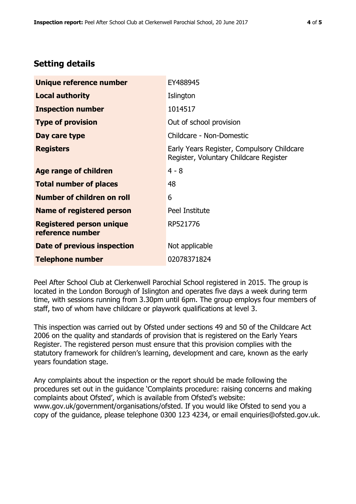# **Setting details**

| Unique reference number                             | EY488945                                                                             |
|-----------------------------------------------------|--------------------------------------------------------------------------------------|
| <b>Local authority</b>                              | Islington                                                                            |
| <b>Inspection number</b>                            | 1014517                                                                              |
| <b>Type of provision</b>                            | Out of school provision                                                              |
| Day care type                                       | Childcare - Non-Domestic                                                             |
| <b>Registers</b>                                    | Early Years Register, Compulsory Childcare<br>Register, Voluntary Childcare Register |
| Age range of children                               | $4 - 8$                                                                              |
| <b>Total number of places</b>                       | 48                                                                                   |
| Number of children on roll                          | 6                                                                                    |
| Name of registered person                           | Peel Institute                                                                       |
| <b>Registered person unique</b><br>reference number | RP521776                                                                             |
| Date of previous inspection                         | Not applicable                                                                       |
| <b>Telephone number</b>                             | 02078371824                                                                          |

Peel After School Club at Clerkenwell Parochial School registered in 2015. The group is located in the London Borough of Islington and operates five days a week during term time, with sessions running from 3.30pm until 6pm. The group employs four members of staff, two of whom have childcare or playwork qualifications at level 3.

This inspection was carried out by Ofsted under sections 49 and 50 of the Childcare Act 2006 on the quality and standards of provision that is registered on the Early Years Register. The registered person must ensure that this provision complies with the statutory framework for children's learning, development and care, known as the early years foundation stage.

Any complaints about the inspection or the report should be made following the procedures set out in the guidance 'Complaints procedure: raising concerns and making complaints about Ofsted', which is available from Ofsted's website: www.gov.uk/government/organisations/ofsted. If you would like Ofsted to send you a copy of the guidance, please telephone 0300 123 4234, or email enquiries@ofsted.gov.uk.